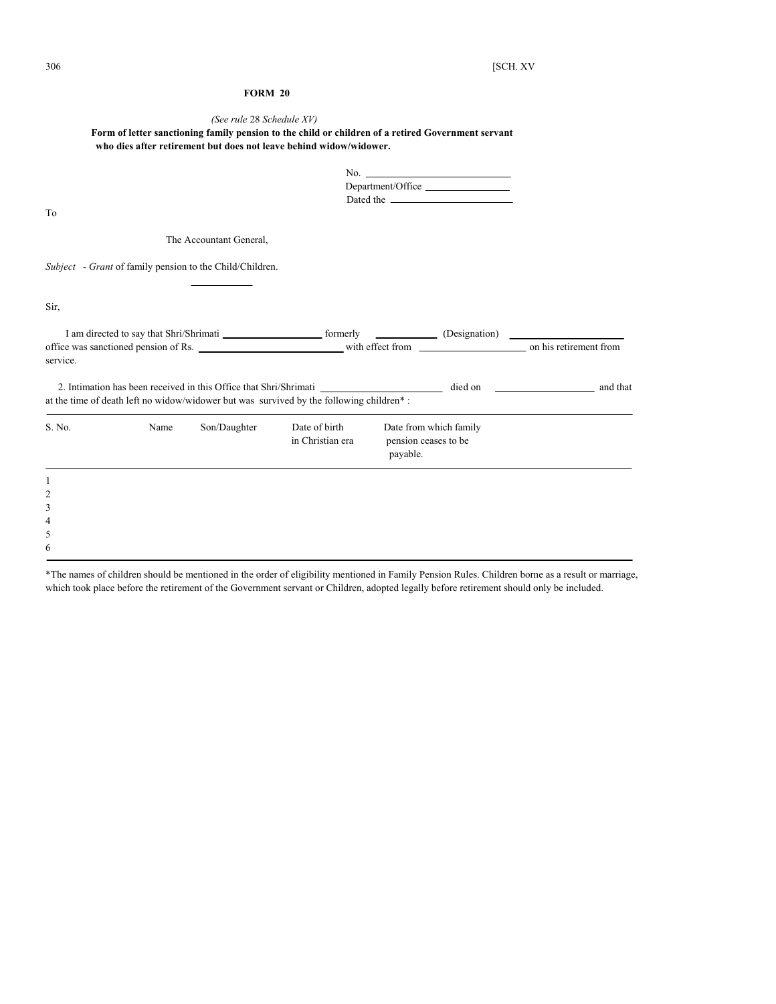# **FORM 20**

# *(See rule* 28 *Schedule XV)*

# **Form of letter sanctioning family pension to the child or children of a retired Government servant who dies after retirement but does not leave behind widow/widower.**

| No.               |
|-------------------|
| Department/Office |
| Dated the         |

To

The Accountant General,

*Subject - Grant* of family pension to the Child/Children.

Sir,

| I am directed to say that Shri/Shrimati<br>office was sanctioned pension of Rs. |      |              | formerly                                                                                                                                                                  |                                                            | (Designation) |          |  |
|---------------------------------------------------------------------------------|------|--------------|---------------------------------------------------------------------------------------------------------------------------------------------------------------------------|------------------------------------------------------------|---------------|----------|--|
|                                                                                 |      |              | with effect from on his retirement from                                                                                                                                   |                                                            |               |          |  |
| service.                                                                        |      |              |                                                                                                                                                                           |                                                            |               |          |  |
|                                                                                 |      |              | 2. Intimation has been received in this Office that Shri/Shrimati<br>at the time of death left no widow/widower but was survived by the following children <sup>*</sup> : |                                                            | died on       | and that |  |
| S. No.                                                                          | Name | Son/Daughter | Date of birth<br>in Christian era                                                                                                                                         | Date from which family<br>pension ceases to be<br>payable. |               |          |  |
|                                                                                 |      |              |                                                                                                                                                                           |                                                            |               |          |  |

3 4

5

6

2

\*The names of children should be mentioned in the order of eligibility mentioned in Family Pension Rules. Children borne as a result or marriage, which took place before the retirement of the Government servant or Children, adopted legally before retirement should only be included.